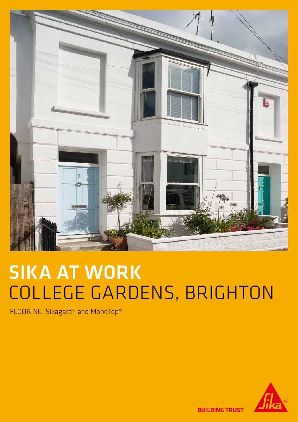

## SIKA AT WORK COLLEGE GARDENS, BRIGHTON

FLOORING: Sikagard® and MonoTop®



**BUILDING TRUST**